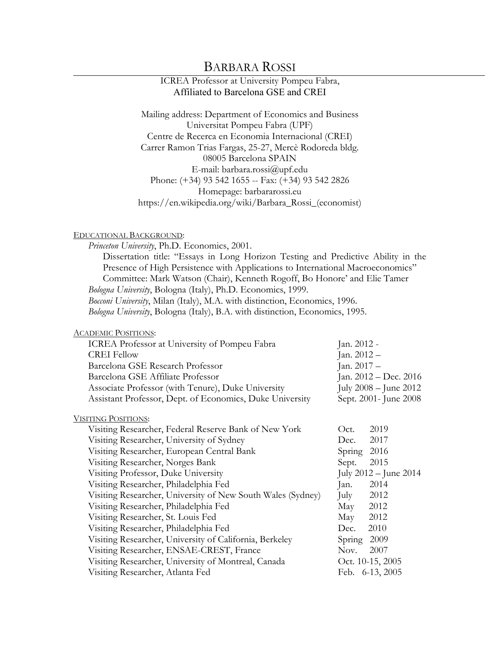# BARBARA ROSSI

# ICREA Professor at University Pompeu Fabra, Affiliated to Barcelona GSE and CREI

Mailing address: Department of Economics and Business Universitat Pompeu Fabra (UPF) Centre de Recerca en Economia Internacional (CREI) Carrer Ramon Trias Fargas, 25-27, Mercè Rodoreda bldg. 08005 Barcelona SPAIN E-mail: barbara.rossi@upf.edu Phone: (+34) 93 542 1655 -- Fax: (+34) 93 542 2826 Homepage: barbararossi.eu https://en.wikipedia.org/wiki/Barbara\_Rossi\_(economist)

### EDUCATIONAL BACKGROUND:

*Princeton University*, Ph.D. Economics, 2001. Dissertation title: "Essays in Long Horizon Testing and Predictive Ability in the Presence of High Persistence with Applications to International Macroeconomics" Committee: Mark Watson (Chair), Kenneth Rogoff, Bo Honore' and Elie Tamer *Bologna University*, Bologna (Italy), Ph.D. Economics, 1999. *Bocconi University*, Milan (Italy), M.A. with distinction, Economics, 1996. *Bologna University*, Bologna (Italy), B.A. with distinction, Economics, 1995.

#### ACADEMIC POSITIONS:

| ICREA Professor at University of Pompeu Fabra            | Jan. 2012 -               |
|----------------------------------------------------------|---------------------------|
| <b>CREI Fellow</b>                                       | Jan. $2012 -$             |
| Barcelona GSE Research Professor                         | Jan. $2017 -$             |
| Barcelona GSE Affiliate Professor                        | Jan. 2012 – Dec. 2016     |
| Associate Professor (with Tenure), Duke University       | July $2008 -$ June $2012$ |
| Assistant Professor, Dept. of Economics, Duke University | Sept. 2001- June 2008     |

#### VISITING POSITIONS:

| Visiting Researcher, Federal Reserve Bank of New York       | Oct.   | 2019                      |
|-------------------------------------------------------------|--------|---------------------------|
| Visiting Researcher, University of Sydney                   | Dec.   | 2017                      |
| Visiting Researcher, European Central Bank                  | Spring | 2016                      |
| Visiting Researcher, Norges Bank                            | Sept.  | 2015                      |
| Visiting Professor, Duke University                         |        | July $2012 -$ June $2014$ |
| Visiting Researcher, Philadelphia Fed                       | Jan.   | 2014                      |
| Visiting Researcher, University of New South Wales (Sydney) | July   | 2012                      |
| Visiting Researcher, Philadelphia Fed                       | May    | 2012                      |
| Visiting Researcher, St. Louis Fed                          | May    | 2012                      |
| Visiting Researcher, Philadelphia Fed                       | Dec.   | 2010                      |
| Visiting Researcher, University of California, Berkeley     | Spring | 2009                      |
| Visiting Researcher, ENSAE-CREST, France                    | Nov.   | 2007                      |
| Visiting Researcher, University of Montreal, Canada         |        | Oct. 10-15, 2005          |
| Visiting Researcher, Atlanta Fed                            |        | Feb. 6-13, 2005           |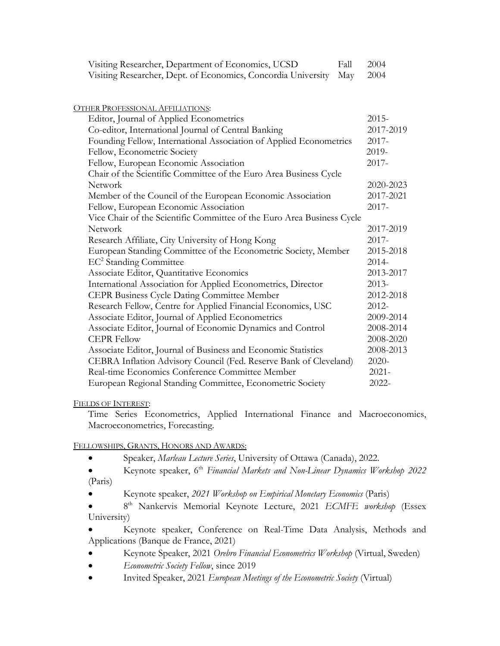| Visiting Researcher, Dept. of Economics, Concordia University<br>May   | 2004      |  |
|------------------------------------------------------------------------|-----------|--|
| <b>OTHER PROFESSIONAL AFFILIATIONS:</b>                                |           |  |
| Editor, Journal of Applied Econometrics                                | $2015 -$  |  |
| Co-editor, International Journal of Central Banking                    | 2017-2019 |  |
| Founding Fellow, International Association of Applied Econometrics     | $2017 -$  |  |
| Fellow, Econometric Society                                            | 2019-     |  |
| Fellow, European Economic Association                                  | $2017 -$  |  |
| Chair of the Scientific Committee of the Euro Area Business Cycle      |           |  |
| Network                                                                | 2020-2023 |  |
| Member of the Council of the European Economic Association             | 2017-2021 |  |
| Fellow, European Economic Association                                  | 2017-     |  |
| Vice Chair of the Scientific Committee of the Euro Area Business Cycle |           |  |
| <b>Network</b>                                                         | 2017-2019 |  |
| Research Affiliate, City University of Hong Kong                       | $2017 -$  |  |
| European Standing Committee of the Econometric Society, Member         | 2015-2018 |  |
| EC <sup>2</sup> Standing Committee                                     | $2014 -$  |  |
| Associate Editor, Quantitative Economics                               | 2013-2017 |  |
| International Association for Applied Econometrics, Director           | $2013-$   |  |
| CEPR Business Cycle Dating Committee Member                            | 2012-2018 |  |
| Research Fellow, Centre for Applied Financial Economics, USC           | 2012-     |  |
| Associate Editor, Journal of Applied Econometrics                      | 2009-2014 |  |
| Associate Editor, Journal of Economic Dynamics and Control             | 2008-2014 |  |
| <b>CEPR Fellow</b>                                                     | 2008-2020 |  |
| Associate Editor, Journal of Business and Economic Statistics          | 2008-2013 |  |
| CEBRA Inflation Advisory Council (Fed. Reserve Bank of Cleveland)      | 2020-     |  |
| Real-time Economics Conference Committee Member                        | $2021 -$  |  |
| European Regional Standing Committee, Econometric Society              | 2022-     |  |

Visiting Researcher, Department of Economics, UCSD Fall 2004

# FIELDS OF INTEREST:

Time Series Econometrics, Applied International Finance and Macroeconomics, Macroeconometrics, Forecasting.

# FELLOWSHIPS, GRANTS, HONORS AND AWARDS:

- Speaker, *Marleau Lecture Series*, University of Ottawa (Canada), 2022.
- Keynote speaker, 6th *Financial Markets and Non-Linear Dynamics Workshop 2022* (Paris)
- Keynote speaker, *2021 Workshop on Empirical Monetary Economics* (Paris)
- 8<sup>th</sup> Nankervis Memorial Keynote Lecture, 2021 *ECMFE workshop* (Essex University)

• Keynote speaker, Conference on Real-Time Data Analysis, Methods and Applications (Banque de France, 2021)

- Keynote Speaker, 2021 *Orebro Financial Econometrics Workshop* (Virtual, Sweden)
- *Econometric Society Fellow*, since 2019
- Invited Speaker, 2021 *European Meetings of the Econometric Society* (Virtual)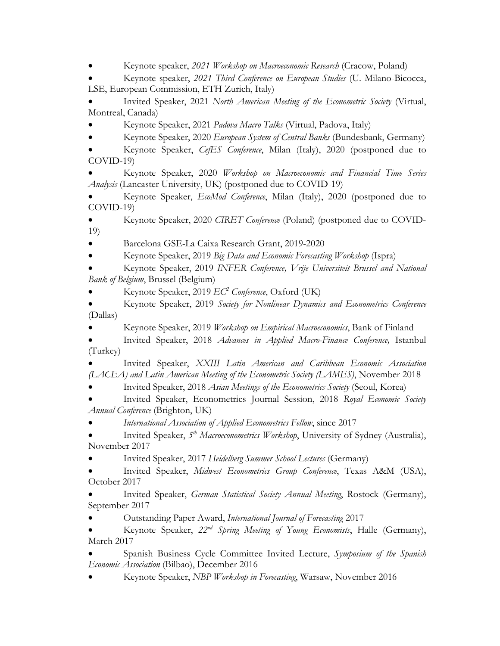• Keynote speaker, *2021 Workshop on Macroeconomic Research* (Cracow, Poland)

• Keynote speaker, *2021 Third Conference on European Studies* (U. Milano-Bicocca, LSE, European Commission, ETH Zurich, Italy)

• Invited Speaker, 2021 *North American Meeting of the Econometric Society* (Virtual, Montreal, Canada)

• Keynote Speaker, 2021 *Padova Macro Talks* (Virtual, Padova, Italy)

• Keynote Speaker, 2020 *European System of Central Banks* (Bundesbank, Germany)

• Keynote Speaker, *CefES Conference*, Milan (Italy), 2020 (postponed due to COVID-19)

• Keynote Speaker, 2020 *Workshop on Macroeconomic and Financial Time Series Analysis* (Lancaster University, UK) (postponed due to COVID-19)

• Keynote Speaker, *EcoMod Conference*, Milan (Italy), 2020 (postponed due to COVID-19)

• Keynote Speaker, 2020 *CIRET Conference* (Poland) (postponed due to COVID-19)

• Barcelona GSE-La Caixa Research Grant, 2019-2020

• Keynote Speaker, 2019 *Big Data and Economic Forecasting Workshop* (Ispra)

• Keynote Speaker, 2019 *INFER Conference, Vrije Universiteit Brussel and National Bank of Belgium*, Brussel (Belgium)

• Keynote Speaker, 2019 *EC2 Conference*, Oxford (UK)

• Keynote Speaker, 2019 *Society for Nonlinear Dynamics and Econometrics Conference* (Dallas)

• Keynote Speaker, 2019 *Workshop on Empirical Macroeconomics*, Bank of Finland

• Invited Speaker, 2018 *Advances in Applied Macro-Finance Conference,* Istanbul (Turkey)

• Invited Speaker, *XXIII Latin American and Caribbean Economic Association (LACEA) and Latin American Meeting of the Econometric Society (LAMES)*, November 2018

• Invited Speaker, 2018 *Asian Meetings of the Econometrics Society* (Seoul, Korea)

• Invited Speaker, Econometrics Journal Session, 2018 *Royal Economic Society Annual Conference* (Brighton, UK)

• *International Association of Applied Econometrics Fellow*, since 2017

• Invited Speaker, *5th Macroeconometrics Workshop*, University of Sydney (Australia), November 2017

• Invited Speaker, 2017 *Heidelberg Summer School Lectures* (Germany)

• Invited Speaker, *Midwest Econometrics Group Conference*, Texas A&M (USA), October 2017

• Invited Speaker, *German Statistical Society Annual Meeting*, Rostock (Germany), September 2017

• Outstanding Paper Award, *International Journal of Forecasting* 2017

• Keynote Speaker, *22nd Spring Meeting of Young Economists*, Halle (Germany), March 2017

• Spanish Business Cycle Committee Invited Lecture, *Symposium of the Spanish Economic Association* (Bilbao), December 2016

• Keynote Speaker, *NBP Workshop in Forecasting*, Warsaw, November 2016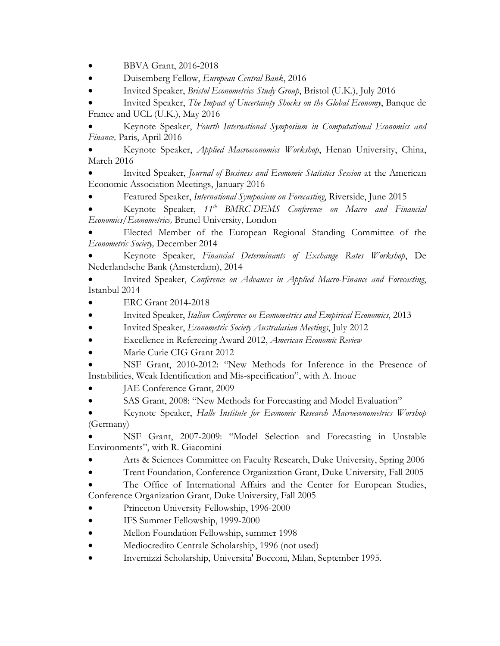• BBVA Grant, 2016-2018

• Duisemberg Fellow, *European Central Bank*, 2016

• Invited Speaker, *Bristol Econometrics Study Group*, Bristol (U.K.), July 2016

• Invited Speaker, *The Impact of Uncertainty Shocks on the Global Economy*, Banque de France and UCL (U.K.), May 2016

• Keynote Speaker, *Fourth International Symposium in Computational Economics and Finance,* Paris, April 2016

• Keynote Speaker, *Applied Macroeconomics Workshop*, Henan University, China, March 2016

• Invited Speaker, *Journal of Business and Economic Statistics Session* at the American Economic Association Meetings, January 2016

• Featured Speaker, *International Symposium on Forecasting*, Riverside, June 2015

• Keynote Speaker, *11th BMRC-DEMS Conference on Macro and Financial Economics/Econometrics,* Brunel University, London

• Elected Member of the European Regional Standing Committee of the *Econometric Society,* December 2014

• Keynote Speaker, *Financial Determinants of Exchange Rates Workshop*, De Nederlandsche Bank (Amsterdam), 2014

• Invited Speaker, *Conference on Advances in Applied Macro-Finance and Forecasting*, Istanbul 2014

- ERC Grant 2014-2018
- Invited Speaker, *Italian Conference on Econometrics and Empirical Economics*, 2013
- Invited Speaker, *Econometric Society Australasian Meetings*, July 2012
- Excellence in Refereeing Award 2012, *American Economic Review*
- Marie Curie CIG Grant 2012

• NSF Grant, 2010-2012: "New Methods for Inference in the Presence of Instabilities, Weak Identification and Mis-specification", with A. Inoue

- JAE Conference Grant, 2009
- SAS Grant, 2008: "New Methods for Forecasting and Model Evaluation"
- Keynote Speaker, *Halle Institute for Economic Research Macroeconometrics Worshop*  (Germany)

• NSF Grant, 2007-2009: "Model Selection and Forecasting in Unstable Environments", with R. Giacomini

- Arts & Sciences Committee on Faculty Research, Duke University, Spring 2006
- Trent Foundation, Conference Organization Grant, Duke University, Fall 2005

The Office of International Affairs and the Center for European Studies, Conference Organization Grant, Duke University, Fall 2005

- Princeton University Fellowship, 1996-2000
- IFS Summer Fellowship, 1999-2000
- Mellon Foundation Fellowship, summer 1998
- Mediocredito Centrale Scholarship, 1996 (not used)
- Invernizzi Scholarship, Universita' Bocconi, Milan, September 1995.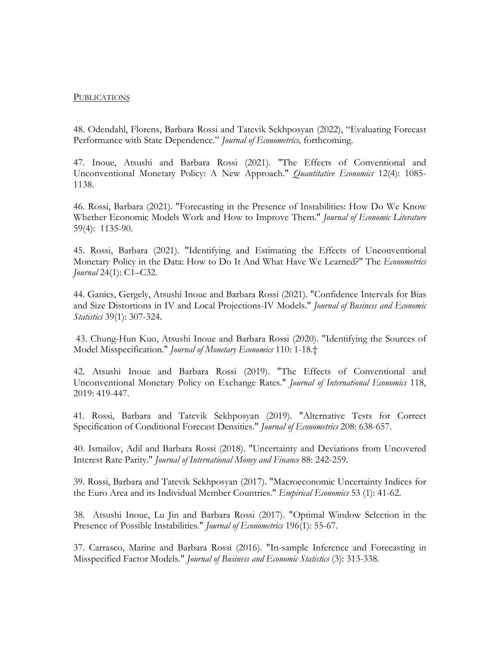## **PUBLICATIONS**

48. Odendahl, Florens, Barbara Rossi and Tatevik Sekhposyan (2022), "Evaluating Forecast Performance with State Dependence." *Journal of Econometrics,* forthcoming.

47. Inoue, Atsushi and Barbara Rossi (2021). "The Effects of Conventional and Unconventional Monetary Policy: A New Approach." *Quantitative Economics* 12(4): 1085- 1138.

46. Rossi, Barbara (2021). "Forecasting in the Presence of Instabilities: How Do We Know Whether Economic Models Work and How to Improve Them." *Journal of Economic Literature* 59(4): 1135-90.

45. Rossi, Barbara (2021). "Identifying and Estimating the Effects of Unconventional Monetary Policy in the Data: How to Do It And What Have We Learned?" The *Econometrics Journal* 24(1): C1–C32.

44. Ganics, Gergely, Atsushi Inoue and Barbara Rossi (2021). "Confidence Intervals for Bias and Size Distortions in IV and Local Projections-IV Models." *Journal of Business and Economic Statistics* 39(1): 307-324.

43. Chung-Hun Kuo, Atsushi Inoue and Barbara Rossi (2020). "Identifying the Sources of Model Misspecification." *Journal of Monetary Economics* 110: 1-18.†

42. Atsushi Inoue and Barbara Rossi (2019). "The Effects of Conventional and Unconventional Monetary Policy on Exchange Rates." *Journal of International Economics* 118, 2019: 419-447.

41. Rossi, Barbara and Tatevik Sekhposyan (2019). "Alternative Tests for Correct Specification of Conditional Forecast Densities." *Journal of Econometrics* 208: 638-657.

40. Ismailov, Adil and Barbara Rossi (2018). "Uncertainty and Deviations from Uncovered Interest Rate Parity." *Journal of International Money and Finance* 88: 242-259.

39. Rossi, Barbara and Tatevik Sekhposyan (2017). "Macroeconomic Uncertainty Indices for the Euro Area and its Individual Member Countries." *Empirical Economics* 53 (1): 41-62.

38. Atsushi Inoue, Lu Jin and Barbara Rossi (2017). "Optimal Window Selection in the Presence of Possible Instabilities." *Journal of Econometrics* 196(1): 55-67.

37. Carrasco, Marine and Barbara Rossi (2016). "In-sample Inference and Forecasting in Misspecified Factor Models." *Journal of Business and Economic Statistics* (3): 313-338.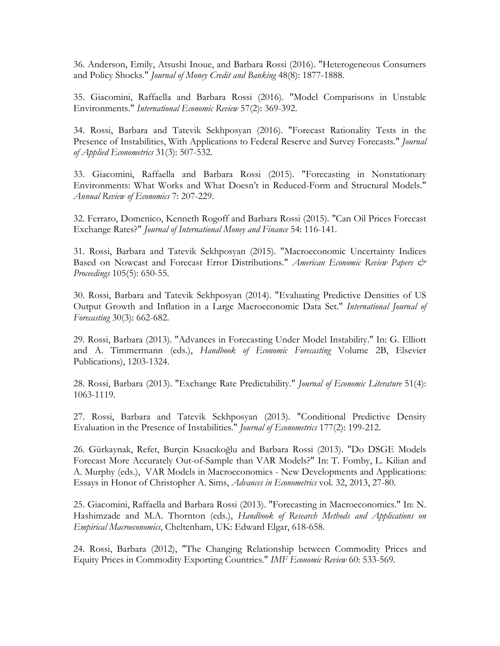36. Anderson, Emily, Atsushi Inoue, and Barbara Rossi (2016). "Heterogeneous Consumers and Policy Shocks." *Journal of Money Credit and Banking* 48(8): 1877-1888.

35. Giacomini, Raffaella and Barbara Rossi (2016). "Model Comparisons in Unstable Environments." *International Economic Review* 57(2): 369-392.

34. Rossi, Barbara and Tatevik Sekhposyan (2016). "Forecast Rationality Tests in the Presence of Instabilities, With Applications to Federal Reserve and Survey Forecasts." *Journal of Applied Econometrics* 31(3): 507-532.

33. Giacomini, Raffaella and Barbara Rossi (2015). "Forecasting in Nonstationary Environments: What Works and What Doesn't in Reduced-Form and Structural Models." *Annual Review of Economics* 7: 207-229.

32. Ferraro, Domenico, Kenneth Rogoff and Barbara Rossi (2015). "Can Oil Prices Forecast Exchange Rates?" *Journal of International Money and Finance* 54: 116-141.

31. Rossi, Barbara and Tatevik Sekhposyan (2015). "Macroeconomic Uncertainty Indices Based on Nowcast and Forecast Error Distributions." *American Economic Review Papers & Proceedings* 105(5): 650-55.

30. Rossi, Barbara and Tatevik Sekhposyan (2014). "Evaluating Predictive Densities of US Output Growth and Inflation in a Large Macroeconomic Data Set." *International Journal of Forecasting* 30(3): 662-682.

29. Rossi, Barbara (2013). "Advances in Forecasting Under Model Instability." In: G. Elliott and A. Timmermann (eds.), *Handbook of Economic Forecasting* Volume 2B, Elsevier Publications), 1203-1324.

28. Rossi, Barbara (2013). "Exchange Rate Predictability." *Journal of Economic Literature* 51(4): 1063-1119.

27. Rossi, Barbara and Tatevik Sekhposyan (2013). "Conditional Predictive Density Evaluation in the Presence of Instabilities." *Journal of Econometrics* 177(2): 199-212.

26. Gürkaynak, Refet, Burçin Kısacıkoğlu and Barbara Rossi (2013). "Do DSGE Models Forecast More Accurately Out-of-Sample than VAR Models?" In: T. Fomby, L. Kilian and A. Murphy (eds.), VAR Models in Macroeconomics - New Developments and Applications: Essays in Honor of Christopher A. Sims, *Advances in Econometrics* vol. 32, 2013, 27-80.

25. Giacomini, Raffaella and Barbara Rossi (2013). "Forecasting in Macroeconomics." In: N. Hashimzade and M.A. Thornton (eds.), *Handbook of Research Methods and Applications on Empirical Macroeconomics*, Cheltenham, UK: Edward Elgar, 618-658.

24. Rossi, Barbara (2012), "The Changing Relationship between Commodity Prices and Equity Prices in Commodity Exporting Countries." *IMF Economic Review* 60: 533-569.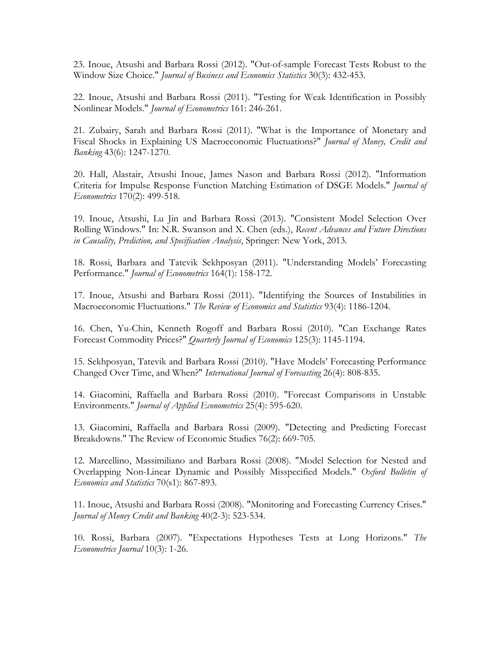23. Inoue, Atsushi and Barbara Rossi (2012). "Out-of-sample Forecast Tests Robust to the Window Size Choice." *Journal of Business and Economics Statistics* 30(3): 432-453.

22. Inoue, Atsushi and Barbara Rossi (2011). "Testing for Weak Identification in Possibly Nonlinear Models." *Journal of Econometrics* 161: 246-261.

21. Zubairy, Sarah and Barbara Rossi (2011). "What is the Importance of Monetary and Fiscal Shocks in Explaining US Macroeconomic Fluctuations?" *Journal of Money, Credit and Banking* 43(6): 1247-1270.

20. Hall, Alastair, Atsushi Inoue, James Nason and Barbara Rossi (2012). "Information Criteria for Impulse Response Function Matching Estimation of DSGE Models." *Journal of Econometrics* 170(2): 499-518.

19. Inoue, Atsushi, Lu Jin and Barbara Rossi (2013). "Consistent Model Selection Over Rolling Windows." In: N.R. Swanson and X. Chen (eds.), *Recent Advances and Future Directions in Causality, Prediction, and Specification Analysis*, Springer: New York, 2013.

18. Rossi, Barbara and Tatevik Sekhposyan (2011). "Understanding Models' Forecasting Performance." *Journal of Econometrics* 164(1): 158-172.

17. Inoue, Atsushi and Barbara Rossi (2011). "Identifying the Sources of Instabilities in Macroeconomic Fluctuations." *The Review of Economics and Statistics* 93(4): 1186-1204.

16. Chen, Yu-Chin, Kenneth Rogoff and Barbara Rossi (2010). "Can Exchange Rates Forecast Commodity Prices?" *Quarterly Journal of Economics* 125(3): 1145-1194.

15. Sekhposyan, Tatevik and Barbara Rossi (2010). "Have Models' Forecasting Performance Changed Over Time, and When?" *International Journal of Forecasting* 26(4): 808-835.

14. Giacomini, Raffaella and Barbara Rossi (2010). "Forecast Comparisons in Unstable Environments." *Journal of Applied Econometrics* 25(4): 595-620.

13. Giacomini, Raffaella and Barbara Rossi (2009). "Detecting and Predicting Forecast Breakdowns." The Review of Economic Studies 76(2): 669-705.

12. Marcellino, Massimiliano and Barbara Rossi (2008). "Model Selection for Nested and Overlapping Non-Linear Dynamic and Possibly Misspecified Models." *Oxford Bulletin of Economics and Statistics* 70(s1): 867-893.

11. Inoue, Atsushi and Barbara Rossi (2008). "Monitoring and Forecasting Currency Crises." *Journal of Money Credit and Banking* 40(2-3): 523-534.

10. Rossi, Barbara (2007). "Expectations Hypotheses Tests at Long Horizons." *The Econometrics Journal* 10(3): 1-26.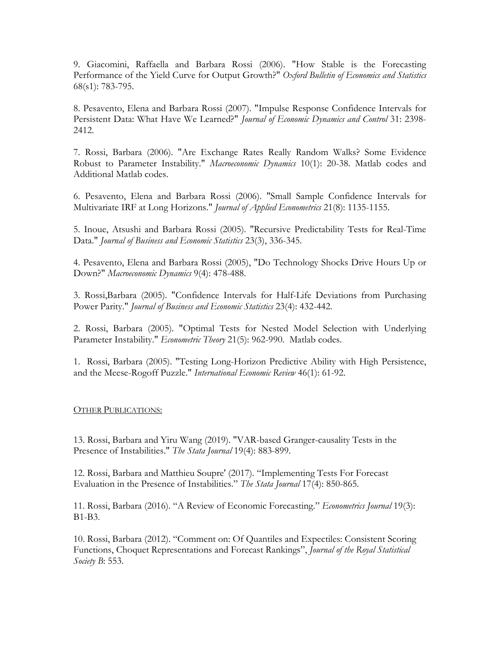9. Giacomini, Raffaella and Barbara Rossi (2006). "How Stable is the Forecasting Performance of the Yield Curve for Output Growth?" *Oxford Bulletin of Economics and Statistics* 68(s1): 783-795.

8. Pesavento, Elena and Barbara Rossi (2007). "Impulse Response Confidence Intervals for Persistent Data: What Have We Learned?" *Journal of Economic Dynamics and Control* 31: 2398- 2412.

7. Rossi, Barbara (2006). "Are Exchange Rates Really Random Walks? Some Evidence Robust to Parameter Instability." *Macroeconomic Dynamics* 10(1): 20-38. Matlab codes and Additional Matlab codes.

6. Pesavento, Elena and Barbara Rossi (2006). "Small Sample Confidence Intervals for Multivariate IRF at Long Horizons." *Journal of Applied Econometrics* 21(8): 1135-1155.

5. Inoue, Atsushi and Barbara Rossi (2005). "Recursive Predictability Tests for Real-Time Data." *Journal of Business and Economic Statistics* 23(3), 336-345.

4. Pesavento, Elena and Barbara Rossi (2005), "Do Technology Shocks Drive Hours Up or Down?" *Macroeconomic Dynamics* 9(4): 478-488.

3. Rossi,Barbara (2005). "Confidence Intervals for Half-Life Deviations from Purchasing Power Parity." *Journal of Business and Economic Statistics* 23(4): 432-442.

2. Rossi, Barbara (2005). "Optimal Tests for Nested Model Selection with Underlying Parameter Instability." *Econometric Theory* 21(5): 962-990. Matlab codes.

1. Rossi, Barbara (2005). "Testing Long-Horizon Predictive Ability with High Persistence, and the Meese-Rogoff Puzzle." *International Economic Review* 46(1): 61-92.

# OTHER PUBLICATIONS:

13. Rossi, Barbara and Yiru Wang (2019). "VAR-based Granger-causality Tests in the Presence of Instabilities." *The Stata Journal* 19(4): 883-899.

12. Rossi, Barbara and Matthieu Soupre' (2017). "Implementing Tests For Forecast Evaluation in the Presence of Instabilities." *The Stata Journal* 17(4): 850-865.

11. Rossi, Barbara (2016). "A Review of Economic Forecasting." *Econometrics Journal* 19(3): B1-B3.

10. Rossi, Barbara (2012). "Comment on: Of Quantiles and Expectiles: Consistent Scoring Functions, Choquet Representations and Forecast Rankings", *Journal of the Royal Statistical Society B*: 553.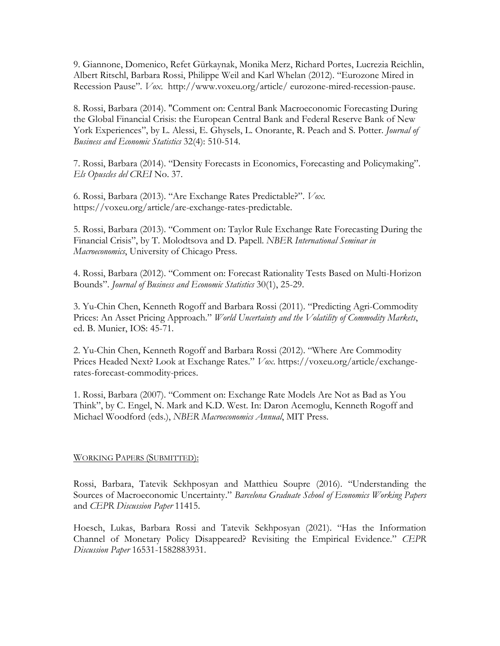9. Giannone, Domenico, Refet Gürkaynak, Monika Merz, Richard Portes, Lucrezia Reichlin, Albert Ritschl, Barbara Rossi, Philippe Weil and Karl Whelan (2012). "Eurozone Mired in Recession Pause". *Vox*. http://www.voxeu.org/article/ eurozone-mired-recession-pause.

8. Rossi, Barbara (2014). "Comment on: Central Bank Macroeconomic Forecasting During the Global Financial Crisis: the European Central Bank and Federal Reserve Bank of New York Experiences", by L. Alessi, E. Ghysels, L. Onorante, R. Peach and S. Potter. *Journal of Business and Economic Statistics* 32(4): 510-514.

7. Rossi, Barbara (2014). "Density Forecasts in Economics, Forecasting and Policymaking". *Els Opuscles del CREI* No. 37.

6. Rossi, Barbara (2013). "Are Exchange Rates Predictable?". *Vox*. https://voxeu.org/article/are-exchange-rates-predictable.

5. Rossi, Barbara (2013). "Comment on: Taylor Rule Exchange Rate Forecasting During the Financial Crisis", by T. Molodtsova and D. Papell. *NBER International Seminar in Macroeconomics*, University of Chicago Press.

4. Rossi, Barbara (2012). "Comment on: Forecast Rationality Tests Based on Multi-Horizon Bounds". *Journal of Business and Economic Statistics* 30(1), 25-29.

3. Yu-Chin Chen, Kenneth Rogoff and Barbara Rossi (2011). "Predicting Agri-Commodity Prices: An Asset Pricing Approach." *World Uncertainty and the Volatility of Commodity Markets*, ed. B. Munier, IOS: 45-71.

2. Yu-Chin Chen, Kenneth Rogoff and Barbara Rossi (2012). "Where Are Commodity Prices Headed Next? Look at Exchange Rates." *Vox*. https://voxeu.org/article/exchangerates-forecast-commodity-prices.

1. Rossi, Barbara (2007). "Comment on: Exchange Rate Models Are Not as Bad as You Think", by C. Engel, N. Mark and K.D. West. In: Daron Acemoglu, Kenneth Rogoff and Michael Woodford (eds.), *NBER Macroeconomics Annual*, MIT Press.

# WORKING PAPERS (SUBMITTED):

Rossi, Barbara, Tatevik Sekhposyan and Matthieu Soupre (2016). "Understanding the Sources of Macroeconomic Uncertainty." *Barcelona Graduate School of Economics Working Papers* and *CEPR Discussion Paper* 11415.

Hoesch, Lukas, Barbara Rossi and Tatevik Sekhposyan (2021). "Has the Information Channel of Monetary Policy Disappeared? Revisiting the Empirical Evidence." *CEPR Discussion Paper* 16531-1582883931.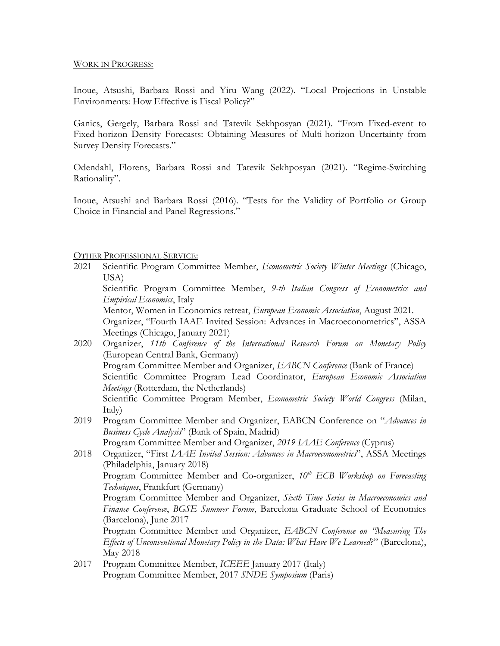## WORK IN PROGRESS:

Inoue, Atsushi, Barbara Rossi and Yiru Wang (2022). "Local Projections in Unstable Environments: How Effective is Fiscal Policy?"

Ganics, Gergely, Barbara Rossi and Tatevik Sekhposyan (2021). "From Fixed-event to Fixed-horizon Density Forecasts: Obtaining Measures of Multi-horizon Uncertainty from Survey Density Forecasts."

Odendahl, Florens, Barbara Rossi and Tatevik Sekhposyan (2021). "Regime-Switching Rationality".

Inoue, Atsushi and Barbara Rossi (2016). "Tests for the Validity of Portfolio or Group Choice in Financial and Panel Regressions."

# OTHER PROFESSIONAL SERVICE:

2021 Scientific Program Committee Member, *Econometric Society Winter Meetings* (Chicago, USA)

 Scientific Program Committee Member, *9-th Italian Congress of Econometrics and Empirical Economics*, Italy

Mentor, Women in Economics retreat, *European Economic Association*, August 2021.

Organizer, "Fourth IAAE Invited Session: Advances in Macroeconometrics", ASSA Meetings (Chicago, January 2021)

- 2020 Organizer, *11th Conference of the International Research Forum on Monetary Policy* (European Central Bank, Germany) Program Committee Member and Organizer, *EABCN Conference* (Bank of France) Scientific Committee Program Lead Coordinator, *European Economic Association Meetings* (Rotterdam, the Netherlands) Scientific Committee Program Member, *Econometric Society World Congress* (Milan, Italy)
- 2019 Program Committee Member and Organizer, EABCN Conference on "*Advances in Business Cycle Analysis*" (Bank of Spain, Madrid)

Program Committee Member and Organizer, *2019 IAAE Conference* (Cyprus)

- 2018 Organizer, "First *IAAE Invited Session: Advances in Macroeconometrics*", ASSA Meetings (Philadelphia, January 2018) Program Committee Member and Co-organizer, *10th ECB Workshop on Forecasting Techniques*, Frankfurt (Germany) Program Committee Member and Organizer, *Sixth Time Series in Macroeconomics and Finance Conference*, *BGSE Summer Forum*, Barcelona Graduate School of Economics (Barcelona), June 2017 Program Committee Member and Organizer, *EABCN Conference on "Measuring The Effects of Unconventional Monetary Policy in the Data: What Have We Learned*?" (Barcelona), May 2018
- 2017 Program Committee Member, *ICEEE* January 2017 (Italy) Program Committee Member, 2017 *SNDE Symposium* (Paris)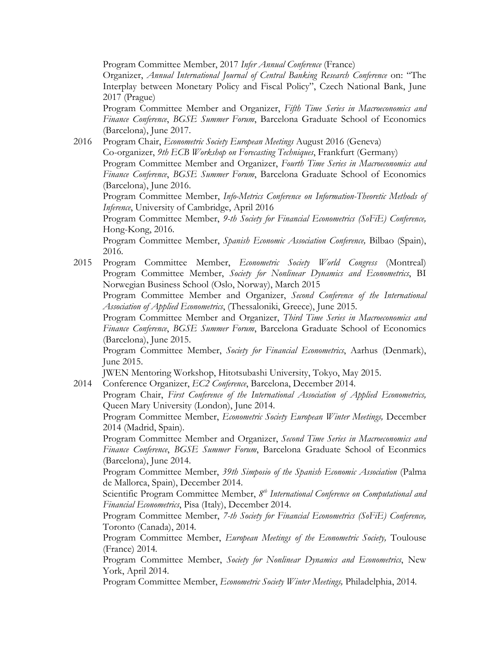Program Committee Member, 2017 *Infer Annual Conference* (France)

Organizer, *Annual International Journal of Central Banking Research Conference* on: "The Interplay between Monetary Policy and Fiscal Policy", Czech National Bank, June 2017 (Prague)

Program Committee Member and Organizer, *Fifth Time Series in Macroeconomics and Finance Conference*, *BGSE Summer Forum*, Barcelona Graduate School of Economics (Barcelona), June 2017.

2016 Program Chair, *Econometric Society European Meetings* August 2016 (Geneva) Co-organizer, *9th ECB Workshop on Forecasting Techniques*, Frankfurt (Germany) Program Committee Member and Organizer, *Fourth Time Series in Macroeconomics and Finance Conference*, *BGSE Summer Forum*, Barcelona Graduate School of Economics (Barcelona), June 2016.

Program Committee Member, *Info-Metrics Conference on Information-Theoretic Methods of Inference*, University of Cambridge, April 2016

Program Committee Member, *9-th Society for Financial Econometrics (SoFiE) Conference,* Hong-Kong, 2016*.*

Program Committee Member, *Spanish Economic Association Conference,* Bilbao (Spain), 2016*.*

2015 Program Committee Member, *Econometric Society World Congress* (Montreal) Program Committee Member, *Society for Nonlinear Dynamics and Econometrics*, BI Norwegian Business School (Oslo, Norway), March 2015

Program Committee Member and Organizer, *Second Conference of the International Association of Applied Econometrics*, (Thessaloniki, Greece), June 2015.

Program Committee Member and Organizer, *Third Time Series in Macroeconomics and Finance Conference*, *BGSE Summer Forum*, Barcelona Graduate School of Economics (Barcelona), June 2015.

Program Committee Member, *Society for Financial Econometrics*, Aarhus (Denmark), June 2015.

JWEN Mentoring Workshop, Hitotsubashi University, Tokyo, May 2015.

2014 Conference Organizer, *EC2 Conference*, Barcelona, December 2014.

Program Chair, *First Conference of the International Association of Applied Econometrics,*  Queen Mary University (London), June 2014.

Program Committee Member, *Econometric Society European Winter Meetings,* December 2014 (Madrid, Spain).

Program Committee Member and Organizer, *Second Time Series in Macroeconomics and Finance Conference*, *BGSE Summer Forum*, Barcelona Graduate School of Econmics (Barcelona), June 2014.

Program Committee Member, *39th Simposio of the Spanish Economic Association* (Palma de Mallorca, Spain), December 2014.

Scientific Program Committee Member,  $8<sup>th</sup> International Conference on Computational and$ *Financial Econometrics*, Pisa (Italy), December 2014.

Program Committee Member, *7-th Society for Financial Econometrics (SoFiE) Conference,* Toronto (Canada), 2014*.*

Program Committee Member, *European Meetings of the Econometric Society,* Toulouse (France) 2014*.*

Program Committee Member, *Society for Nonlinear Dynamics and Econometrics*, New York, April 2014.

Program Committee Member, *Econometric Society Winter Meetings,* Philadelphia, 2014*.*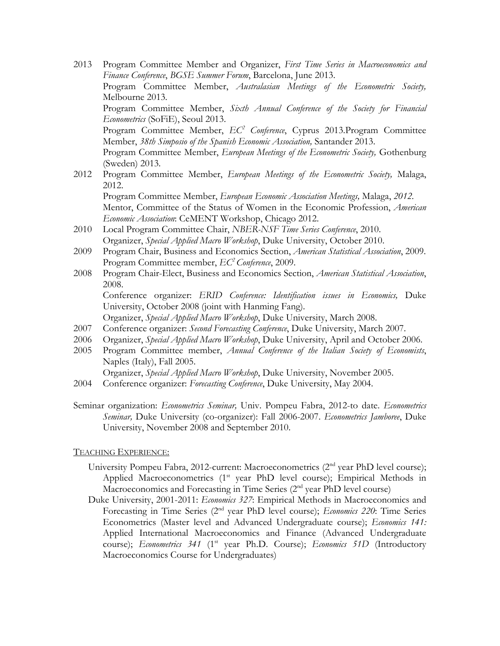- 2013 Program Committee Member and Organizer, *First Time Series in Macroeconomics and Finance Conference*, *BGSE Summer Forum*, Barcelona, June 2013. Program Committee Member, *Australasian Meetings of the Econometric Society,* Melbourne 2013*.* Program Committee Member, *Sixth Annual Conference of the Society for Financial Econometrics* (SoFiE), Seoul 2013. Program Committee Member, *EC2 Conference*, Cyprus 2013.Program Committee Member, *38th Simposio of the Spanish Economic Association,* Santander 2013. Program Committee Member, *European Meetings of the Econometric Society,* Gothenburg (Sweden) 2013*.*
- 2012 Program Committee Member, *European Meetings of the Econometric Society,* Malaga, 2012. Program Committee Member, *European Economic Association Meetings,* Malaga, *2012.*

Mentor, Committee of the Status of Women in the Economic Profession, *American Economic Association*: CeMENT Workshop, Chicago 2012.

- 2010 Local Program Committee Chair, *NBER-NSF Time Series Conference*, 2010. Organizer, *Special Applied Macro Workshop*, Duke University, October 2010.
- 2009 Program Chair, Business and Economics Section, *American Statistical Association*, 2009. Program Committee member, *EC2 Conference*, 2009.
- 2008 Program Chair-Elect, Business and Economics Section, *American Statistical Association*, 2008. Conference organizer: *ERID Conference: Identification issues in Economics,* Duke University, October 2008 (joint with Hanming Fang).

Organizer, *Special Applied Macro Workshop*, Duke University, March 2008.

- 2007 Conference organizer: *Second Forecasting Conference*, Duke University, March 2007.
- 2006 Organizer, *Special Applied Macro Workshop*, Duke University, April and October 2006.
- 2005 Program Committee member, *Annual Conference of the Italian Society of Economists*, Naples (Italy), Fall 2005.

Organizer, *Special Applied Macro Workshop*, Duke University, November 2005.

- 2004 Conference organizer: *Forecasting Conference*, Duke University, May 2004.
- Seminar organization: *Econometrics Seminar,* Univ. Pompeu Fabra, 2012-to date. *Econometrics Seminar,* Duke University (co-organizer): Fall 2006-2007. *Econometrics Jamboree*, Duke University, November 2008 and September 2010.

# TEACHING EXPERIENCE:

- University Pompeu Fabra, 2012-current: Macroeconometrics (2<sup>nd</sup> year PhD level course); Applied Macroeconometrics (1<sup>st</sup> year PhD level course); Empirical Methods in Macroeconomics and Forecasting in Time Series  $(2<sup>nd</sup>$  year PhD level course)
- Duke University, 2001-2011: *Economics 327*: Empirical Methods in Macroeconomics and Forecasting in Time Series (2nd year PhD level course); *Economics 220*: Time Series Econometrics (Master level and Advanced Undergraduate course); *Economics 141:*  Applied International Macroeconomics and Finance (Advanced Undergraduate course); *Econometrics 341* (1<sup>st</sup> year Ph.D. Course); *Economics 51D* (Introductory Macroeconomics Course for Undergraduates)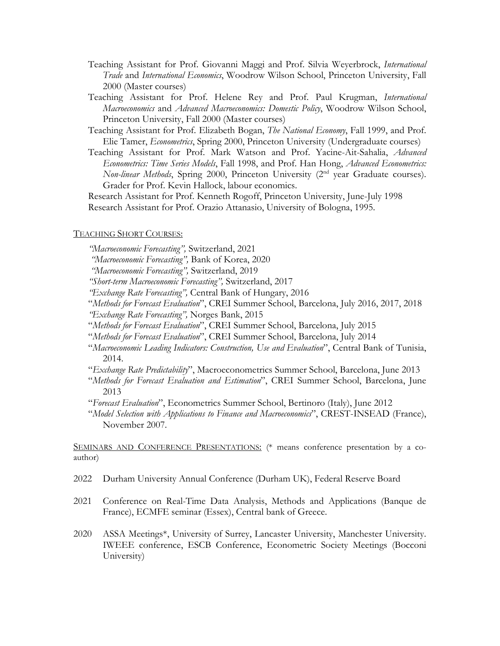- Teaching Assistant for Prof. Giovanni Maggi and Prof. Silvia Weyerbrock, *International Trade* and *International Economics*, Woodrow Wilson School, Princeton University, Fall 2000 (Master courses)
- Teaching Assistant for Prof. Helene Rey and Prof. Paul Krugman, *International Macroeconomics* and *Advanced Macroeconomics: Domestic Policy*, Woodrow Wilson School, Princeton University, Fall 2000 (Master courses)
- Teaching Assistant for Prof. Elizabeth Bogan, *The National Economy*, Fall 1999, and Prof. Elie Tamer, *Econometrics*, Spring 2000, Princeton University (Undergraduate courses)
- Teaching Assistant for Prof. Mark Watson and Prof. Yacine-Ait-Sahalia, *Advanced Econometrics: Time Series Models*, Fall 1998, and Prof. Han Hong, *Advanced Econometrics: Non-linear Methods*, Spring 2000, Princeton University (2<sup>nd</sup> year Graduate courses). Grader for Prof. Kevin Hallock, labour economics.

Research Assistant for Prof. Kenneth Rogoff, Princeton University, June-July 1998 Research Assistant for Prof. Orazio Attanasio, University of Bologna, 1995.

## TEACHING SHORT COURSES:

*"Macroeconomic Forecasting",* Switzerland, 2021

*"Macroeconomic Forecasting",* Bank of Korea, 2020

- *"Macroeconomic Forecasting",* Switzerland, 2019
- *"Short-term Macroeconomic Forecasting",* Switzerland, 2017
- *"Exchange Rate Forecasting",* Central Bank of Hungary, 2016
- "*Methods for Forecast Evaluation*", CREI Summer School, Barcelona, July 2016, 2017, 2018 *"Exchange Rate Forecasting",* Norges Bank, 2015
- "*Methods for Forecast Evaluation*", CREI Summer School, Barcelona, July 2015
- "*Methods for Forecast Evaluation*", CREI Summer School, Barcelona, July 2014
- "*Macroeconomic Leading Indicators: Construction, Use and Evaluation*", Central Bank of Tunisia, 2014.
- "*Exchange Rate Predictability*", Macroeconometrics Summer School, Barcelona, June 2013
- "*Methods for Forecast Evaluation and Estimation*", CREI Summer School, Barcelona, June 2013
- "*Forecast Evaluation*", Econometrics Summer School, Bertinoro (Italy), June 2012
- "*Model Selection with Applications to Finance and Macroeconomics*", CREST-INSEAD (France), November 2007.

SEMINARS AND CONFERENCE PRESENTATIONS: (\* means conference presentation by a coauthor)

- 2022 Durham University Annual Conference (Durham UK), Federal Reserve Board
- 2021 Conference on Real-Time Data Analysis, Methods and Applications (Banque de France), ECMFE seminar (Essex), Central bank of Greece.
- 2020 ASSA Meetings\*, University of Surrey, Lancaster University, Manchester University. IWEEE conference, ESCB Conference, Econometric Society Meetings (Bocconi University)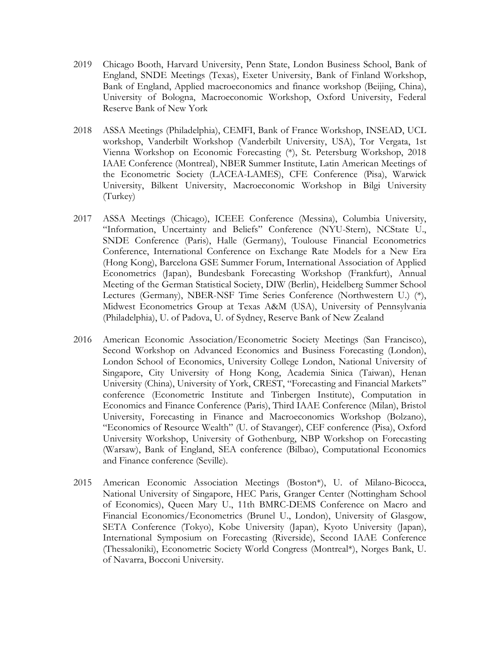- 2019 Chicago Booth, Harvard University, Penn State, London Business School, Bank of England, SNDE Meetings (Texas), Exeter University, Bank of Finland Workshop, Bank of England, Applied macroeconomics and finance workshop (Beijing, China), University of Bologna, Macroeconomic Workshop, Oxford University, Federal Reserve Bank of New York
- 2018 ASSA Meetings (Philadelphia), CEMFI, Bank of France Workshop, INSEAD, UCL workshop, Vanderbilt Workshop (Vanderbilt University, USA), Tor Vergata, 1st Vienna Workshop on Economic Forecasting (\*), St. Petersburg Workshop, 2018 IAAE Conference (Montreal), NBER Summer Institute, Latin American Meetings of the Econometric Society (LACEA-LAMES), CFE Conference (Pisa), Warwick University, Bilkent University, Macroeconomic Workshop in Bilgi University (Turkey)
- 2017 ASSA Meetings (Chicago), ICEEE Conference (Messina), Columbia University, "Information, Uncertainty and Beliefs" Conference (NYU-Stern), NCState U., SNDE Conference (Paris), Halle (Germany), Toulouse Financial Econometrics Conference, International Conference on Exchange Rate Models for a New Era (Hong Kong), Barcelona GSE Summer Forum, International Association of Applied Econometrics (Japan), Bundesbank Forecasting Workshop (Frankfurt), Annual Meeting of the German Statistical Society, DIW (Berlin), Heidelberg Summer School Lectures (Germany), NBER-NSF Time Series Conference (Northwestern U.) (\*), Midwest Econometrics Group at Texas A&M (USA), University of Pennsylvania (Philadelphia), U. of Padova, U. of Sydney, Reserve Bank of New Zealand
- 2016 American Economic Association/Econometric Society Meetings (San Francisco), Second Workshop on Advanced Economics and Business Forecasting (London), London School of Economics, University College London, National University of Singapore, City University of Hong Kong, Academia Sinica (Taiwan), Henan University (China), University of York, CREST, "Forecasting and Financial Markets" conference (Econometric Institute and Tinbergen Institute), Computation in Economics and Finance Conference (Paris), Third IAAE Conference (Milan), Bristol University, Forecasting in Finance and Macroeconomics Workshop (Bolzano), "Economics of Resource Wealth" (U. of Stavanger), CEF conference (Pisa), Oxford University Workshop, University of Gothenburg, NBP Workshop on Forecasting (Warsaw), Bank of England, SEA conference (Bilbao), Computational Economics and Finance conference (Seville).
- 2015 American Economic Association Meetings (Boston\*), U. of Milano-Bicocca, National University of Singapore, HEC Paris, Granger Center (Nottingham School of Economics), Queen Mary U., 11th BMRC-DEMS Conference on Macro and Financial Economics/Econometrics (Brunel U., London), University of Glasgow, SETA Conference (Tokyo), Kobe University (Japan), Kyoto University (Japan), International Symposium on Forecasting (Riverside), Second IAAE Conference (Thessaloniki), Econometric Society World Congress (Montreal\*), Norges Bank, U. of Navarra, Bocconi University.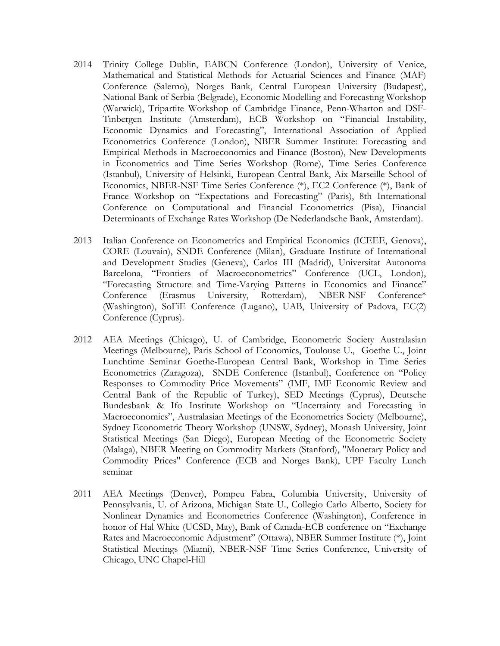- 2014 Trinity College Dublin, EABCN Conference (London), University of Venice, Mathematical and Statistical Methods for Actuarial Sciences and Finance (MAF) Conference (Salerno), Norges Bank, Central European University (Budapest), National Bank of Serbia (Belgrade), Economic Modelling and Forecasting Workshop (Warwick), Tripartite Workshop of Cambridge Finance, Penn-Wharton and DSF-Tinbergen Institute (Amsterdam), ECB Workshop on "Financial Instability, Economic Dynamics and Forecasting", International Association of Applied Econometrics Conference (London), NBER Summer Institute: Forecasting and Empirical Methods in Macroeconomics and Finance (Boston), New Developments in Econometrics and Time Series Workshop (Rome), Time Series Conference (Istanbul), University of Helsinki, European Central Bank, Aix-Marseille School of Economics, NBER-NSF Time Series Conference (\*), EC2 Conference (\*), Bank of France Workshop on "Expectations and Forecasting" (Paris), 8th International Conference on Computational and Financial Econometrics (Pisa), Financial Determinants of Exchange Rates Workshop (De Nederlandsche Bank, Amsterdam).
- 2013 Italian Conference on Econometrics and Empirical Economics (ICEEE, Genova), CORE (Louvain), SNDE Conference (Milan), Graduate Institute of International and Development Studies (Geneva), Carlos III (Madrid), Universitat Autonoma Barcelona, "Frontiers of Macroeconometrics" Conference (UCL, London), "Forecasting Structure and Time-Varying Patterns in Economics and Finance" Conference (Erasmus University, Rotterdam), NBER-NSF Conference\* (Washington), SoFiE Conference (Lugano), UAB, University of Padova, EC(2) Conference (Cyprus).
- 2012 AEA Meetings (Chicago), U. of Cambridge, Econometric Society Australasian Meetings (Melbourne), Paris School of Economics, Toulouse U., Goethe U., Joint Lunchtime Seminar Goethe-European Central Bank, Workshop in Time Series Econometrics (Zaragoza), SNDE Conference (Istanbul), Conference on "Policy Responses to Commodity Price Movements" (IMF, IMF Economic Review and Central Bank of the Republic of Turkey), SED Meetings (Cyprus), Deutsche Bundesbank & Ifo Institute Workshop on "Uncertainty and Forecasting in Macroeconomics", Australasian Meetings of the Econometrics Society (Melbourne), Sydney Econometric Theory Workshop (UNSW, Sydney), Monash University, Joint Statistical Meetings (San Diego), European Meeting of the Econometric Society (Malaga), NBER Meeting on Commodity Markets (Stanford), "Monetary Policy and Commodity Prices" Conference (ECB and Norges Bank), UPF Faculty Lunch seminar
- 2011 AEA Meetings (Denver), Pompeu Fabra, Columbia University, University of Pennsylvania, U. of Arizona, Michigan State U., Collegio Carlo Alberto, Society for Nonlinear Dynamics and Econometrics Conference (Washington), Conference in honor of Hal White (UCSD, May), Bank of Canada-ECB conference on "Exchange Rates and Macroeconomic Adjustment" (Ottawa), NBER Summer Institute (\*), Joint Statistical Meetings (Miami), NBER-NSF Time Series Conference, University of Chicago, UNC Chapel-Hill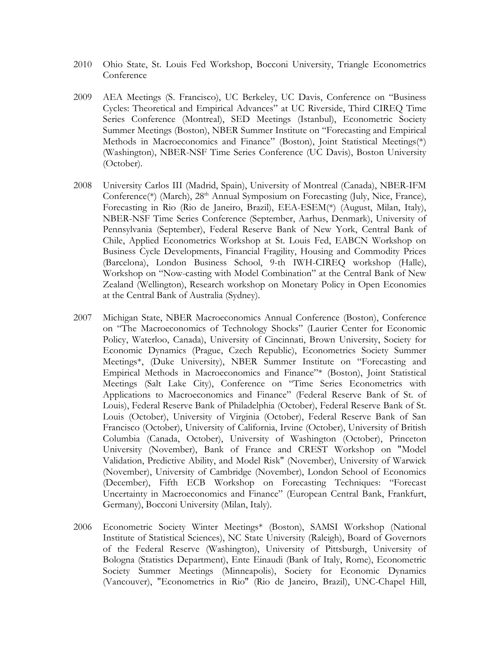- 2010 Ohio State, St. Louis Fed Workshop, Bocconi University, Triangle Econometrics **Conference**
- 2009 AEA Meetings (S. Francisco), UC Berkeley, UC Davis, Conference on "Business Cycles: Theoretical and Empirical Advances" at UC Riverside, Third CIREQ Time Series Conference (Montreal), SED Meetings (Istanbul), Econometric Society Summer Meetings (Boston), NBER Summer Institute on "Forecasting and Empirical Methods in Macroeconomics and Finance" (Boston), Joint Statistical Meetings(\*) (Washington), NBER-NSF Time Series Conference (UC Davis), Boston University (October).
- 2008 University Carlos III (Madrid, Spain), University of Montreal (Canada), NBER-IFM Conference<sup>(\*)</sup> (March), 28<sup>th</sup> Annual Symposium on Forecasting (July, Nice, France), Forecasting in Rio (Rio de Janeiro, Brazil), EEA-ESEM(\*) (August, Milan, Italy), NBER-NSF Time Series Conference (September, Aarhus, Denmark), University of Pennsylvania (September), Federal Reserve Bank of New York, Central Bank of Chile, Applied Econometrics Workshop at St. Louis Fed, EABCN Workshop on Business Cycle Developments, Financial Fragility, Housing and Commodity Prices (Barcelona), London Business School, 9-th IWH-CIREQ workshop (Halle), Workshop on "Now-casting with Model Combination" at the Central Bank of New Zealand (Wellington), Research workshop on Monetary Policy in Open Economies at the Central Bank of Australia (Sydney).
- 2007 Michigan State, NBER Macroeconomics Annual Conference (Boston), Conference on "The Macroeconomics of Technology Shocks" (Laurier Center for Economic Policy, Waterloo, Canada), University of Cincinnati, Brown University, Society for Economic Dynamics (Prague, Czech Republic), Econometrics Society Summer Meetings\*, (Duke University), NBER Summer Institute on "Forecasting and Empirical Methods in Macroeconomics and Finance"\* (Boston), Joint Statistical Meetings (Salt Lake City), Conference on "Time Series Econometrics with Applications to Macroeconomics and Finance" (Federal Reserve Bank of St. of Louis), Federal Reserve Bank of Philadelphia (October), Federal Reserve Bank of St. Louis (October), University of Virginia (October), Federal Reserve Bank of San Francisco (October), University of California, Irvine (October), University of British Columbia (Canada, October), University of Washington (October), Princeton University (November), Bank of France and CREST Workshop on "Model Validation, Predictive Ability, and Model Risk" (November), University of Warwick (November), University of Cambridge (November), London School of Economics (December), Fifth ECB Workshop on Forecasting Techniques: "Forecast Uncertainty in Macroeconomics and Finance" (European Central Bank, Frankfurt, Germany), Bocconi University (Milan, Italy).
- 2006 Econometric Society Winter Meetings\* (Boston), SAMSI Workshop (National Institute of Statistical Sciences), NC State University (Raleigh), Board of Governors of the Federal Reserve (Washington), University of Pittsburgh, University of Bologna (Statistics Department), Ente Einaudi (Bank of Italy, Rome), Econometric Society Summer Meetings (Minneapolis), Society for Economic Dynamics (Vancouver), "Econometrics in Rio" (Rio de Janeiro, Brazil), UNC-Chapel Hill,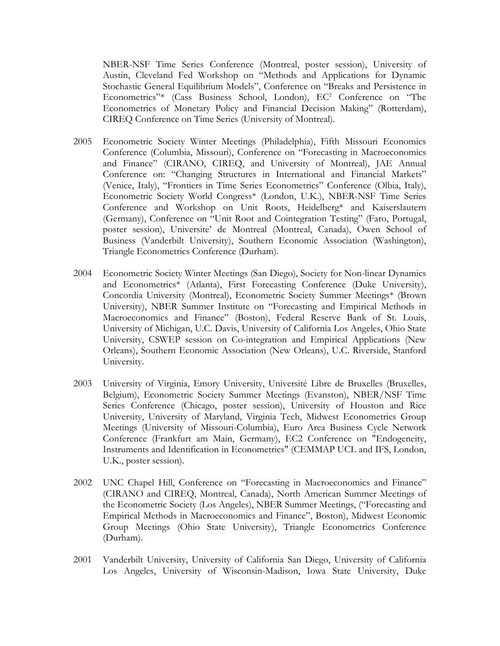NBER-NSF Time Series Conference (Montreal, poster session), University of Austin, Cleveland Fed Workshop on "Methods and Applications for Dynamic Stochastic General Equilibrium Models", Conference on "Breaks and Persistence in Econometrics"\* (Cass Business School, London), EC<sup>2</sup> Conference on "The Econometrics of Monetary Policy and Financial Decision Making" (Rotterdam), CIREQ Conference on Time Series (University of Montreal).

- 2005 Econometric Society Winter Meetings (Philadelphia), Fifth Missouri Economics Conference (Columbia, Missouri), Conference on "Forecasting in Macroeconomics and Finance" (CIRANO, CIREQ, and University of Montreal), JAE Annual Conference on: "Changing Structures in International and Financial Markets" (Venice, Italy), "Frontiers in Time Series Econometrics" Conference (Olbia, Italy), Econometric Society World Congress\* (London, U.K.), NBER-NSF Time Series Conference and Workshop on Unit Roots, Heidelberg\* and Kaiserslautern (Germany), Conference on "Unit Root and Cointegration Testing" (Faro, Portugal, poster session), Universite' de Montreal (Montreal, Canada), Owen School of Business (Vanderbilt University), Southern Economic Association (Washington), Triangle Econometrics Conference (Durham).
- 2004 Econometric Society Winter Meetings (San Diego), Society for Non-linear Dynamics and Econometrics\* (Atlanta), First Forecasting Conference (Duke University), Concordia University (Montreal), Econometric Society Summer Meetings\* (Brown University), NBER Summer Institute on "Forecasting and Empirical Methods in Macroeconomics and Finance" (Boston), Federal Reserve Bank of St. Louis, University of Michigan, U.C. Davis, University of California Los Angeles, Ohio State University, CSWEP session on Co-integration and Empirical Applications (New Orleans), Southern Economic Association (New Orleans), U.C. Riverside, Stanford University.
- 2003 University of Virginia, Emory University, Université Libre de Bruxelles (Bruxelles, Belgium), Econometric Society Summer Meetings (Evanston), NBER/NSF Time Series Conference (Chicago, poster session), University of Houston and Rice University, University of Maryland, Virginia Tech, Midwest Econometrics Group Meetings (University of Missouri-Columbia), Euro Area Business Cycle Network Conference (Frankfurt am Main, Germany), EC2 Conference on "Endogeneity, Instruments and Identification in Econometrics" (CEMMAP UCL and IFS, London, U.K., poster session).
- 2002 UNC Chapel Hill, Conference on "Forecasting in Macroeconomics and Finance" (CIRANO and CIREQ, Montreal, Canada), North American Summer Meetings of the Econometric Society (Los Angeles), NBER Summer Meetings, ("Forecasting and Empirical Methods in Macroeconomics and Finance", Boston), Midwest Economic Group Meetings (Ohio State University), Triangle Econometrics Conference (Durham).
- 2001 Vanderbilt University, University of California San Diego, University of California Los Angeles, University of Wisconsin-Madison, Iowa State University, Duke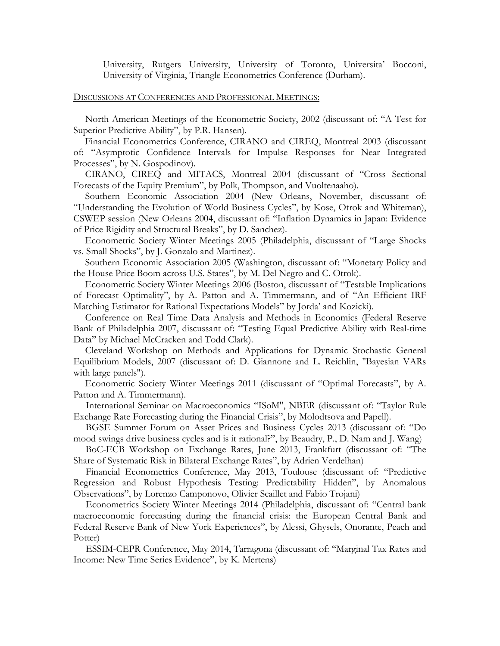University, Rutgers University, University of Toronto, Universita' Bocconi, University of Virginia, Triangle Econometrics Conference (Durham).

## DISCUSSIONS AT CONFERENCES AND PROFESSIONAL MEETINGS:

North American Meetings of the Econometric Society, 2002 (discussant of: "A Test for Superior Predictive Ability", by P.R. Hansen).

Financial Econometrics Conference, CIRANO and CIREQ, Montreal 2003 (discussant of: "Asymptotic Confidence Intervals for Impulse Responses for Near Integrated Processes", by N. Gospodinov).

CIRANO, CIREQ and MITACS, Montreal 2004 (discussant of "Cross Sectional Forecasts of the Equity Premium", by Polk, Thompson, and Vuoltenaaho).

Southern Economic Association 2004 (New Orleans, November, discussant of: "Understanding the Evolution of World Business Cycles", by Kose, Otrok and Whiteman),

CSWEP session (New Orleans 2004, discussant of: "Inflation Dynamics in Japan: Evidence of Price Rigidity and Structural Breaks", by D. Sanchez).

Econometric Society Winter Meetings 2005 (Philadelphia, discussant of "Large Shocks vs. Small Shocks", by J. Gonzalo and Martinez).

Southern Economic Association 2005 (Washington, discussant of: "Monetary Policy and the House Price Boom across U.S. States", by M. Del Negro and C. Otrok).

Econometric Society Winter Meetings 2006 (Boston, discussant of "Testable Implications of Forecast Optimality", by A. Patton and A. Timmermann, and of "An Efficient IRF Matching Estimator for Rational Expectations Models" by Jorda' and Kozicki).

Conference on Real Time Data Analysis and Methods in Economics (Federal Reserve Bank of Philadelphia 2007, discussant of: "Testing Equal Predictive Ability with Real-time Data" by Michael McCracken and Todd Clark).

Cleveland Workshop on Methods and Applications for Dynamic Stochastic General Equilibrium Models, 2007 (discussant of: D. Giannone and L. Reichlin, "Bayesian VARs with large panels").

Econometric Society Winter Meetings 2011 (discussant of "Optimal Forecasts", by A. Patton and A. Timmermann).

 International Seminar on Macroeconomics "ISoM", NBER (discussant of: "Taylor Rule Exchange Rate Forecasting during the Financial Crisis", by Molodtsova and Papell).

 BGSE Summer Forum on Asset Prices and Business Cycles 2013 (discussant of: "Do mood swings drive business cycles and is it rational?", by Beaudry, P., D. Nam and J. Wang)

 BoC-ECB Workshop on Exchange Rates, June 2013, Frankfurt (discussant of: "The Share of Systematic Risk in Bilateral Exchange Rates", by Adrien Verdelhan)

 Financial Econometrics Conference, May 2013, Toulouse (discussant of: "Predictive Regression and Robust Hypothesis Testing: Predictability Hidden", by Anomalous Observations", by Lorenzo Camponovo, Olivier Scaillet and Fabio Trojani)

 Econometrics Society Winter Meetings 2014 (Philadelphia, discussant of: "Central bank macroeconomic forecasting during the financial crisis: the European Central Bank and Federal Reserve Bank of New York Experiences", by Alessi, Ghysels, Onorante, Peach and Potter)

 ESSIM-CEPR Conference, May 2014, Tarragona (discussant of: "Marginal Tax Rates and Income: New Time Series Evidence", by K. Mertens)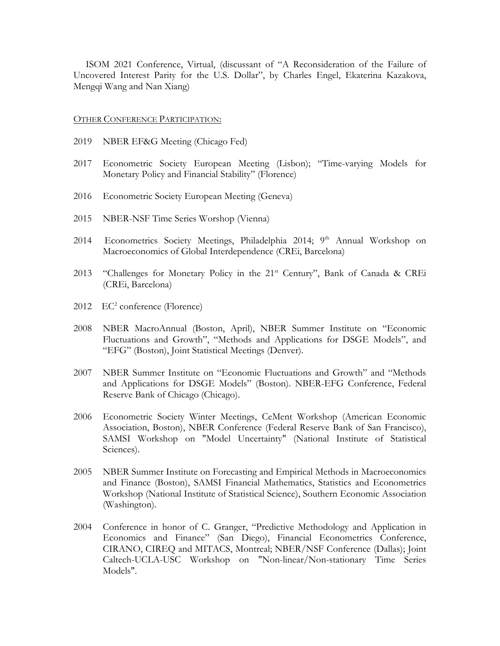ISOM 2021 Conference, Virtual, (discussant of "A Reconsideration of the Failure of Uncovered Interest Parity for the U.S. Dollar", by Charles Engel, Ekaterina Kazakova, Mengqi Wang and Nan Xiang)

### OTHER CONFERENCE PARTICIPATION:

- 2019 NBER EF&G Meeting (Chicago Fed)
- 2017 Econometric Society European Meeting (Lisbon); "Time-varying Models for Monetary Policy and Financial Stability" (Florence)
- 2016 Econometric Society European Meeting (Geneva)
- 2015 NBER-NSF Time Series Worshop (Vienna)
- 2014 Econometrics Society Meetings, Philadelphia 2014; 9<sup>th</sup> Annual Workshop on Macroeconomics of Global Interdependence (CREi, Barcelona)
- 2013 "Challenges for Monetary Policy in the 21<sup>st</sup> Century", Bank of Canada & CREi (CREi, Barcelona)
- $2012 \quad EC^2 \text{ conference}$  (Florence)
- 2008 NBER MacroAnnual (Boston, April), NBER Summer Institute on "Economic Fluctuations and Growth", "Methods and Applications for DSGE Models", and "EFG" (Boston), Joint Statistical Meetings (Denver).
- 2007 NBER Summer Institute on "Economic Fluctuations and Growth" and "Methods and Applications for DSGE Models" (Boston). NBER-EFG Conference, Federal Reserve Bank of Chicago (Chicago).
- 2006 Econometric Society Winter Meetings, CeMent Workshop (American Economic Association, Boston), NBER Conference (Federal Reserve Bank of San Francisco), SAMSI Workshop on "Model Uncertainty" (National Institute of Statistical Sciences).
- 2005 NBER Summer Institute on Forecasting and Empirical Methods in Macroeconomics and Finance (Boston), SAMSI Financial Mathematics, Statistics and Econometrics Workshop (National Institute of Statistical Science), Southern Economic Association (Washington).
- 2004 Conference in honor of C. Granger, "Predictive Methodology and Application in Economics and Finance" (San Diego), Financial Econometrics Conference, CIRANO, CIREQ and MITACS, Montreal; NBER/NSF Conference (Dallas); Joint Caltech-UCLA-USC Workshop on "Non-linear/Non-stationary Time Series Models".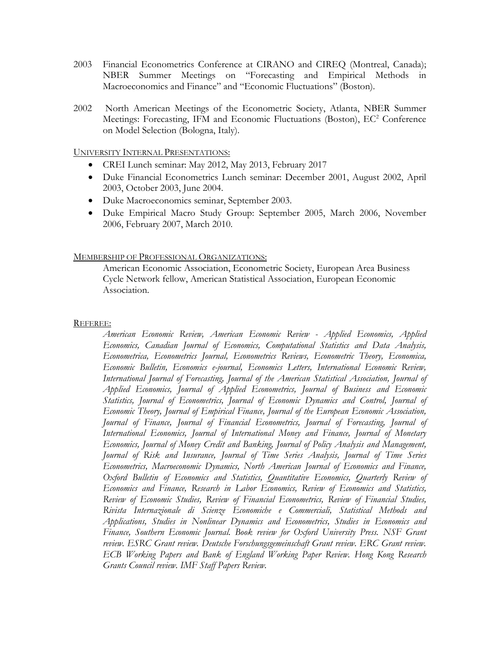- 2003 Financial Econometrics Conference at CIRANO and CIREQ (Montreal, Canada); NBER Summer Meetings on "Forecasting and Empirical Methods in Macroeconomics and Finance" and "Economic Fluctuations" (Boston).
- 2002 North American Meetings of the Econometric Society, Atlanta, NBER Summer Meetings: Forecasting, IFM and Economic Fluctuations (Boston), EC<sup>2</sup> Conference on Model Selection (Bologna, Italy).

# UNIVERSITY INTERNAL PRESENTATIONS:

- CREI Lunch seminar: May 2012, May 2013, February 2017
- Duke Financial Econometrics Lunch seminar: December 2001, August 2002, April 2003, October 2003, June 2004.
- Duke Macroeconomics seminar, September 2003.
- Duke Empirical Macro Study Group: September 2005, March 2006, November 2006, February 2007, March 2010.

# MEMBERSHIP OF PROFESSIONAL ORGANIZATIONS:

American Economic Association, Econometric Society, European Area Business Cycle Network fellow, American Statistical Association, European Economic Association.

## REFEREE:

*American Economic Review, American Economic Review - Applied Economics, Applied Economics, Canadian Journal of Economics, Computational Statistics and Data Analysis, Econometrica, Econometrics Journal, Econometrics Reviews, Econometric Theory, Economica, Economic Bulletin, Economics e-journal, Economics Letters, International Economic Review, International Journal of Forecasting, Journal of the American Statistical Association, Journal of Applied Economics, Journal of Applied Econometrics, Journal of Business and Economic Statistics, Journal of Econometrics, Journal of Economic Dynamics and Control, Journal of Economic Theory, Journal of Empirical Finance, Journal of the European Economic Association, Journal of Finance, Journal of Financial Econometrics, Journal of Forecasting, Journal of International Economics, Journal of International Money and Finance, Journal of Monetary Economics, Journal of Money Credit and Banking, Journal of Policy Analysis and Management, Journal of Risk and Insurance, Journal of Time Series Analysis, Journal of Time Series Econometrics, Macroeconomic Dynamics, North American Journal of Economics and Finance, Oxford Bulletin of Economics and Statistics, Quantitative Economics, Quarterly Review of Economics and Finance, Research in Labor Economics, Review of Economics and Statistics, Review of Economic Studies, Review of Financial Econometrics, Review of Financial Studies, Rivista Internazionale di Scienze Economiche e Commerciali, Statistical Methods and Applications, Studies in Nonlinear Dynamics and Econometrics, Studies in Economics and Finance, Southern Economic Journal. Book review for Oxford University Press. NSF Grant review. ESRC Grant review. Deutsche Forschungsgemeinschaft Grant review. ERC Grant review. ECB Working Papers and Bank of England Working Paper Review. Hong Kong Research Grants Council review. IMF Staff Papers Review.*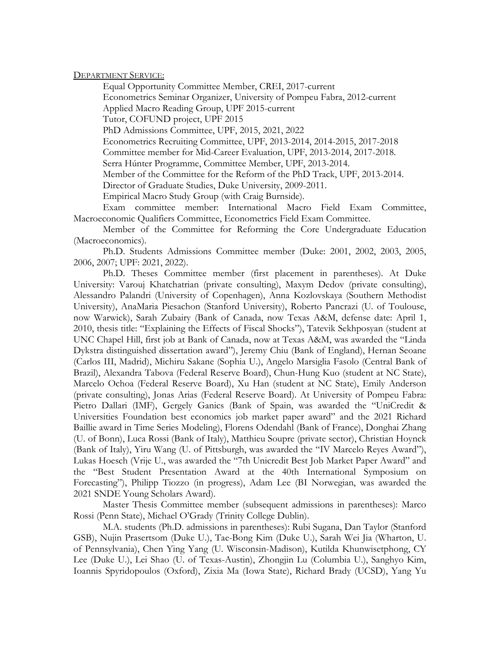DEPARTMENT SERVICE:

Equal Opportunity Committee Member, CREI, 2017-current Econometrics Seminar Organizer, University of Pompeu Fabra, 2012-current Applied Macro Reading Group, UPF 2015-current Tutor, COFUND project, UPF 2015 PhD Admissions Committee, UPF, 2015, 2021, 2022 Econometrics Recruiting Committee, UPF, 2013-2014, 2014-2015, 2017-2018 Committee member for Mid-Career Evaluation, UPF, 2013-2014, 2017-2018. Serra Húnter Programme, Committee Member, UPF, 2013-2014. Member of the Committee for the Reform of the PhD Track, UPF, 2013-2014. Director of Graduate Studies, Duke University, 2009-2011. Empirical Macro Study Group (with Craig Burnside).

Exam committee member: International Macro Field Exam Committee, Macroeconomic Qualifiers Committee, Econometrics Field Exam Committee.

Member of the Committee for Reforming the Core Undergraduate Education (Macroeconomics).

Ph.D. Students Admissions Committee member (Duke: 2001, 2002, 2003, 2005, 2006, 2007; UPF: 2021, 2022).

Ph.D. Theses Committee member (first placement in parentheses). At Duke University: Varouj Khatchatrian (private consulting), Maxym Dedov (private consulting), Alessandro Palandri (University of Copenhagen), Anna Kozlovskaya (Southern Methodist University), AnaMaria Piesachon (Stanford University), Roberto Pancrazi (U. of Toulouse, now Warwick), Sarah Zubairy (Bank of Canada, now Texas A&M, defense date: April 1, 2010, thesis title: "Explaining the Effects of Fiscal Shocks"), Tatevik Sekhposyan (student at UNC Chapel Hill, first job at Bank of Canada, now at Texas A&M, was awarded the "Linda Dykstra distinguished dissertation award"), Jeremy Chiu (Bank of England), Hernan Seoane (Carlos III, Madrid), Michiru Sakane (Sophia U.), Angelo Marsiglia Fasolo (Central Bank of Brazil), Alexandra Tabova (Federal Reserve Board), Chun-Hung Kuo (student at NC State), Marcelo Ochoa (Federal Reserve Board), Xu Han (student at NC State), Emily Anderson (private consulting), Jonas Arias (Federal Reserve Board). At University of Pompeu Fabra: Pietro Dallari (IMF), Gergely Ganics (Bank of Spain, was awarded the "UniCredit & Universities Foundation best economics job market paper award" and the 2021 Richard Baillie award in Time Series Modeling), Florens Odendahl (Bank of France), Donghai Zhang (U. of Bonn), Luca Rossi (Bank of Italy), Matthieu Soupre (private sector), Christian Hoynck (Bank of Italy), Yiru Wang (U. of Pittsburgh, was awarded the "IV Marcelo Reyes Award"), Lukas Hoesch (Vrije U., was awarded the "7th Unicredit Best Job Market Paper Award" and the "Best Student Presentation Award at the 40th International Symposium on Forecasting"), Philipp Tiozzo (in progress), Adam Lee (BI Norwegian, was awarded the 2021 SNDE Young Scholars Award).

Master Thesis Committee member (subsequent admissions in parentheses): Marco Rossi (Penn State), Michael O'Grady (Trinity College Dublin).

M.A. students (Ph.D. admissions in parentheses): Rubi Sugana, Dan Taylor (Stanford GSB), Nujin Prasertsom (Duke U.), Tae-Bong Kim (Duke U.), Sarah Wei Jia (Wharton, U. of Pennsylvania), Chen Ying Yang (U. Wisconsin-Madison), Kutilda Khunwisetphong, CY Lee (Duke U.), Lei Shao (U. of Texas-Austin), Zhongjin Lu (Columbia U.), Sanghyo Kim, Ioannis Spyridopoulos (Oxford), Zixia Ma (Iowa State), Richard Brady (UCSD), Yang Yu